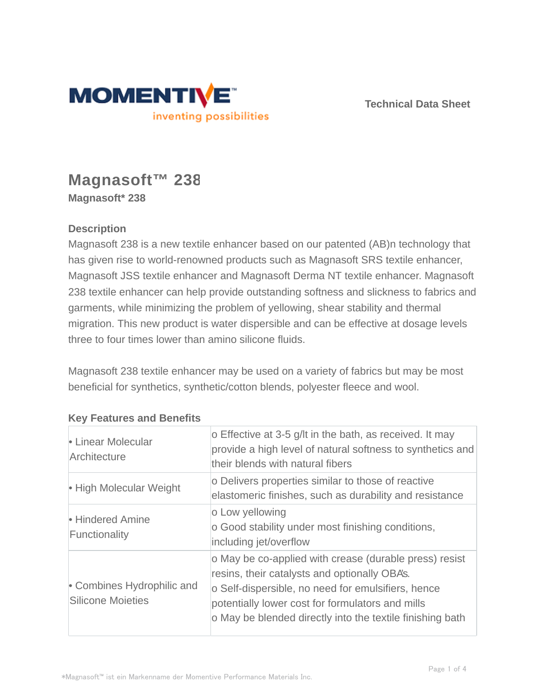

**Technical Data Sheet**

# **Magnasoft™ 238 Magnasoft\* 238**

## **Description**

Magnasoft 238 is a new textile enhancer based on our patented (AB)n technology that has given rise to world-renowned products such as Magnasoft SRS textile enhancer, Magnasoft JSS textile enhancer and Magnasoft Derma NT textile enhancer. Magnasoft 238 textile enhancer can help provide outstanding softness and slickness to fabrics and garments, while minimizing the problem of yellowing, shear stability and thermal migration. This new product is water dispersible and can be effective at dosage levels three to four times lower than amino silicone fluids.

Magnasoft 238 textile enhancer may be used on a variety of fabrics but may be most beneficial for synthetics, synthetic/cotton blends, polyester fleece and wool.

| • Linear Molecular<br>Architecture                     | o Effective at 3-5 g/lt in the bath, as received. It may<br>provide a high level of natural softness to synthetics and<br>their blends with natural fibers                                                                                                                     |  |
|--------------------------------------------------------|--------------------------------------------------------------------------------------------------------------------------------------------------------------------------------------------------------------------------------------------------------------------------------|--|
| • High Molecular Weight                                | o Delivers properties similar to those of reactive<br>elastomeric finishes, such as durability and resistance                                                                                                                                                                  |  |
| • Hindered Amine<br>Functionality                      | o Low yellowing<br>o Good stability under most finishing conditions,<br>including jet/overflow                                                                                                                                                                                 |  |
| • Combines Hydrophilic and<br><b>Silicone Moieties</b> | o May be co-applied with crease (durable press) resist<br>resins, their catalysts and optionally OBA's.<br>o Self-dispersible, no need for emulsifiers, hence<br>potentially lower cost for formulators and mills<br>o May be blended directly into the textile finishing bath |  |

### **Key Features and Benefits**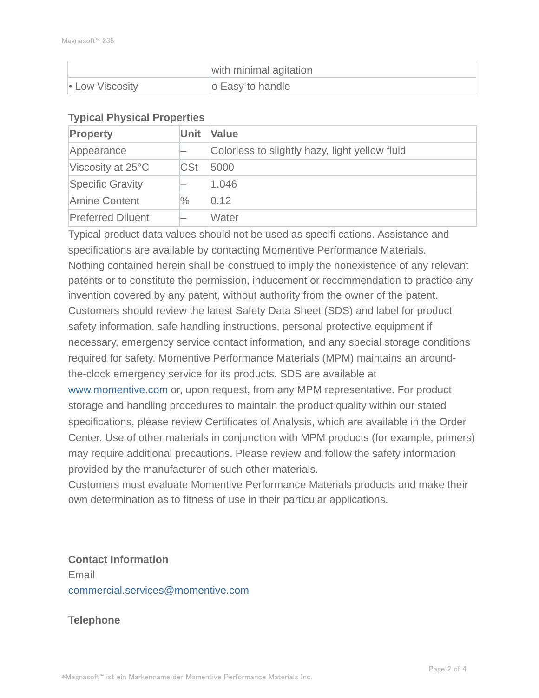|                 | with minimal agitation |
|-----------------|------------------------|
| • Low Viscosity | o Easy to handle       |

#### **Typical Physical Properties**

| Property                 | <b>Unit</b> | Value                                          |  |
|--------------------------|-------------|------------------------------------------------|--|
| Appearance               |             | Colorless to slightly hazy, light yellow fluid |  |
| Viscosity at 25°C        | <b>CSt</b>  | 5000                                           |  |
| <b>Specific Gravity</b>  |             | 1.046                                          |  |
| Amine Content            | $\%$        | 0.12                                           |  |
| <b>Preferred Diluent</b> |             | Water                                          |  |

Typical product data values should not be used as specifi cations. Assistance and specifications are available by contacting Momentive Performance Materials. Nothing contained herein shall be construed to imply the nonexistence of any relevant patents or to constitute the permission, inducement or recommendation to practice any invention covered by any patent, without authority from the owner of the patent. Customers should review the latest Safety Data Sheet (SDS) and label for product safety information, safe handling instructions, personal protective equipment if necessary, emergency service contact information, and any special storage conditions required for safety. Momentive Performance Materials (MPM) maintains an aroundthe-clock emergency service for its products. SDS are available at www.momentive.com or, upon request, from any MPM representative. For product storage and handling procedures to maintain the product quality within our stated specifications, please review Certificates of Analysis, which are available in the Order Center. Use of other materials in conjunction with MPM products (for example, primers) may require additional precautions. Please review and follow the safety information provided by the manufacturer of such other materials.

Customers must evaluate Momentive Performance Materials products and make their own determination as to fitness of use in their particular applications.

**Contact Information** Email commercial.services@momentive.com

### **Telephone**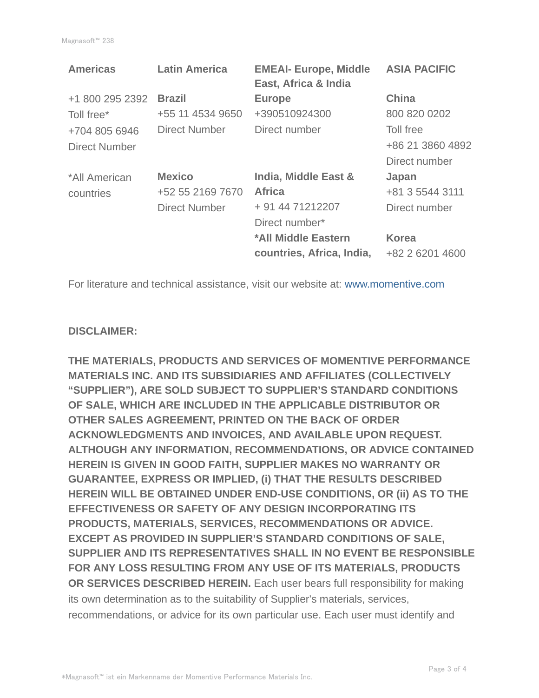| <b>Americas</b> | <b>Latin America</b> | <b>EMEAI- Europe, Middle</b><br>East, Africa & India | <b>ASIA PACIFIC</b> |
|-----------------|----------------------|------------------------------------------------------|---------------------|
| +1 800 295 2392 | <b>Brazil</b>        | <b>Europe</b>                                        | <b>China</b>        |
| Toll free*      | +55 11 4534 9650     | +390510924300                                        | 800 820 0202        |
| +704 805 6946   | Direct Number        | Direct number                                        | Toll free           |
| Direct Number   |                      |                                                      | +86 21 3860 4892    |
|                 |                      |                                                      | Direct number       |
| *All American   | <b>Mexico</b>        | India, Middle East &                                 | Japan               |
| countries       | +52 55 2169 7670     | <b>Africa</b>                                        | +81 3 5544 3111     |
|                 | <b>Direct Number</b> | + 91 44 71212207                                     | Direct number       |
|                 |                      | Direct number*                                       |                     |
|                 |                      | *All Middle Eastern                                  | <b>Korea</b>        |
|                 |                      | countries, Africa, India,                            | +82 2 6201 4600     |

For literature and technical assistance, visit our website at: www.momentive.com

#### **DISCLAIMER:**

**THE MATERIALS, PRODUCTS AND SERVICES OF MOMENTIVE PERFORMANCE MATERIALS INC. AND ITS SUBSIDIARIES AND AFFILIATES (COLLECTIVELY "SUPPLIER"), ARE SOLD SUBJECT TO SUPPLIER'S STANDARD CONDITIONS OF SALE, WHICH ARE INCLUDED IN THE APPLICABLE DISTRIBUTOR OR OTHER SALES AGREEMENT, PRINTED ON THE BACK OF ORDER ACKNOWLEDGMENTS AND INVOICES, AND AVAILABLE UPON REQUEST. ALTHOUGH ANY INFORMATION, RECOMMENDATIONS, OR ADVICE CONTAINED HEREIN IS GIVEN IN GOOD FAITH, SUPPLIER MAKES NO WARRANTY OR GUARANTEE, EXPRESS OR IMPLIED, (i) THAT THE RESULTS DESCRIBED HEREIN WILL BE OBTAINED UNDER END-USE CONDITIONS, OR (ii) AS TO THE EFFECTIVENESS OR SAFETY OF ANY DESIGN INCORPORATING ITS PRODUCTS, MATERIALS, SERVICES, RECOMMENDATIONS OR ADVICE. EXCEPT AS PROVIDED IN SUPPLIER'S STANDARD CONDITIONS OF SALE, SUPPLIER AND ITS REPRESENTATIVES SHALL IN NO EVENT BE RESPONSIBLE FOR ANY LOSS RESULTING FROM ANY USE OF ITS MATERIALS, PRODUCTS OR SERVICES DESCRIBED HEREIN.** Each user bears full responsibility for making its own determination as to the suitability of Supplier's materials, services, recommendations, or advice for its own particular use. Each user must identify and